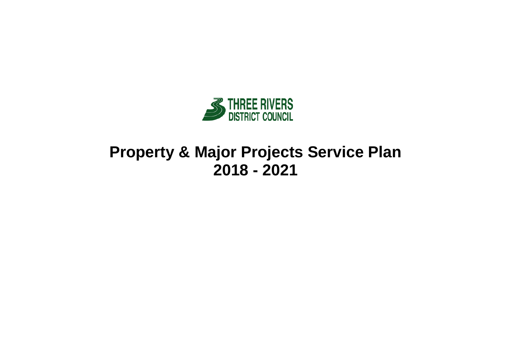

# **Property & Major Projects Service Plan 2018 - 2021**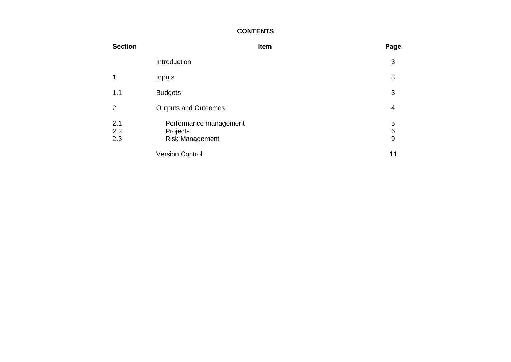### **CONTENTS**

| <b>Section</b>    |                                                              | Item | Page                     |
|-------------------|--------------------------------------------------------------|------|--------------------------|
|                   | Introduction                                                 |      | 3                        |
|                   | Inputs                                                       |      | 3                        |
| 1.1               | <b>Budgets</b>                                               |      | 3                        |
| 2                 | <b>Outputs and Outcomes</b>                                  |      | 4                        |
| 2.1<br>2.2<br>2.3 | Performance management<br>Projects<br><b>Risk Management</b> |      | 5<br>6<br>$\overline{9}$ |
|                   | <b>Version Control</b>                                       |      | 11                       |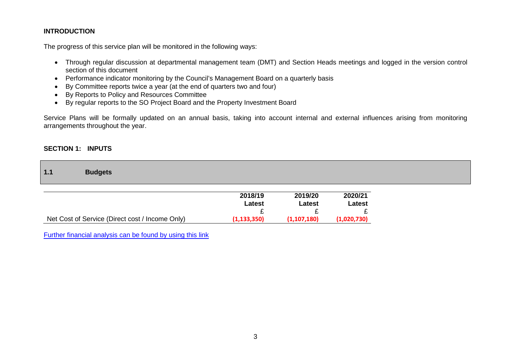### **INTRODUCTION**

The progress of this service plan will be monitored in the following ways:

- Through regular discussion at departmental management team (DMT) and Section Heads meetings and logged in the version control section of this document
- Performance indicator monitoring by the Council's Management Board on a quarterly basis
- By Committee reports twice a year (at the end of quarters two and four)
- By Reports to Policy and Resources Committee
- By regular reports to the SO Project Board and the Property Investment Board

Service Plans will be formally updated on an annual basis, taking into account internal and external influences arising from monitoring arrangements throughout the year.

#### **SECTION 1: INPUTS**

| 1.1<br><b>Budgets</b>                           |                   |                          |                   |
|-------------------------------------------------|-------------------|--------------------------|-------------------|
|                                                 | 2018/19<br>Latest | 2019/20<br><b>Latest</b> | 2020/21<br>Latest |
| Net Cost of Service (Direct cost / Income Only) | (1, 133, 350)     | (1,107,180)              | (1,020,730)       |

[Further financial analysis can be found by using this link](http://www.threerivers.gov.uk/egcl-page/budgets-2018-21)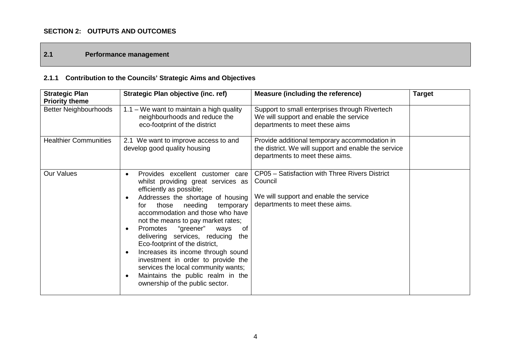### **SECTION 2: OUTPUTS AND OUTCOMES**

### **2.1 Performance management**

# **2.1.1 Contribution to the Councils' Strategic Aims and Objectives**

| <b>Strategic Plan</b>                                 | Strategic Plan objective (inc. ref)                                                                                                                                                                                                                                                                                                                                                                                                                                                                                                                                                                                                    | <b>Measure (including the reference)</b>                                                                                                 | <b>Target</b> |
|-------------------------------------------------------|----------------------------------------------------------------------------------------------------------------------------------------------------------------------------------------------------------------------------------------------------------------------------------------------------------------------------------------------------------------------------------------------------------------------------------------------------------------------------------------------------------------------------------------------------------------------------------------------------------------------------------------|------------------------------------------------------------------------------------------------------------------------------------------|---------------|
| <b>Priority theme</b><br><b>Better Neighbourhoods</b> | $1.1 - We$ want to maintain a high quality<br>neighbourhoods and reduce the<br>eco-footprint of the district                                                                                                                                                                                                                                                                                                                                                                                                                                                                                                                           | Support to small enterprises through Rivertech<br>We will support and enable the service<br>departments to meet these aims               |               |
| <b>Healthier Communities</b>                          | 2.1 We want to improve access to and<br>develop good quality housing                                                                                                                                                                                                                                                                                                                                                                                                                                                                                                                                                                   | Provide additional temporary accommodation in<br>the district. We will support and enable the service<br>departments to meet these aims. |               |
| <b>Our Values</b>                                     | Provides excellent customer care<br>$\bullet$<br>whilst providing great services as<br>efficiently as possible;<br>Addresses the shortage of housing<br>$\bullet$<br>needing<br>those<br>temporary<br>for<br>accommodation and those who have<br>not the means to pay market rates;<br>Promotes<br>"greener"<br>ways<br>0f<br>$\bullet$<br>delivering services, reducing<br>the<br>Eco-footprint of the district,<br>Increases its income through sound<br>$\bullet$<br>investment in order to provide the<br>services the local community wants;<br>Maintains the public realm in the<br>$\bullet$<br>ownership of the public sector. | CP05 - Satisfaction with Three Rivers District<br>Council<br>We will support and enable the service<br>departments to meet these aims.   |               |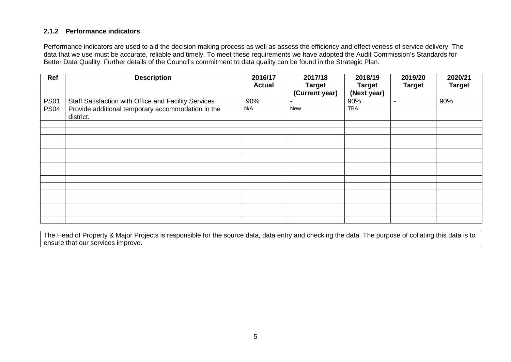### **2.1.2 Performance indicators**

Performance indicators are used to aid the decision making process as well as assess the efficiency and effectiveness of service delivery. The data that we use must be accurate, reliable and timely. To meet these requirements we have adopted the Audit Commission's Standards for Better Data Quality. Further details of the Council's commitment to data quality can be found in the Strategic Plan.

| Ref         | <b>Description</b>                                             | 2016/17<br><b>Actual</b> | 2017/18<br><b>Target</b> | 2018/19<br><b>Target</b> | 2019/20<br><b>Target</b> | 2020/21<br><b>Target</b> |
|-------------|----------------------------------------------------------------|--------------------------|--------------------------|--------------------------|--------------------------|--------------------------|
|             |                                                                |                          | (Current year)           | (Next year)              |                          |                          |
| <b>PS01</b> | Staff Satisfaction with Office and Facility Services           | 90%                      | -                        | 90%                      | -                        | 90%                      |
| <b>PS04</b> | Provide additional temporary accommodation in the<br>district. | N/A                      | New                      | <b>TBA</b>               |                          |                          |
|             |                                                                |                          |                          |                          |                          |                          |
|             |                                                                |                          |                          |                          |                          |                          |
|             |                                                                |                          |                          |                          |                          |                          |
|             |                                                                |                          |                          |                          |                          |                          |
|             |                                                                |                          |                          |                          |                          |                          |
|             |                                                                |                          |                          |                          |                          |                          |
|             |                                                                |                          |                          |                          |                          |                          |
|             |                                                                |                          |                          |                          |                          |                          |
|             |                                                                |                          |                          |                          |                          |                          |
|             |                                                                |                          |                          |                          |                          |                          |
|             |                                                                |                          |                          |                          |                          |                          |
|             |                                                                |                          |                          |                          |                          |                          |
|             |                                                                |                          |                          |                          |                          |                          |
|             |                                                                |                          |                          |                          |                          |                          |

The Head of Property & Major Projects is responsible for the source data, data entry and checking the data. The purpose of collating this data is to ensure that our services improve.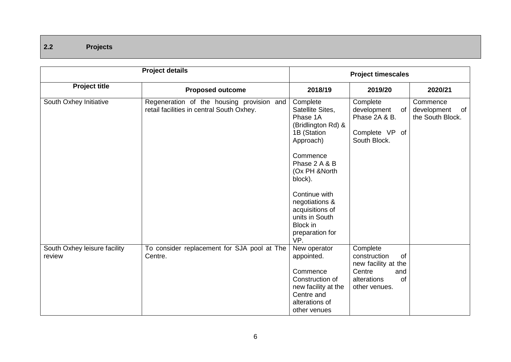## **2.2 Projects**

|                                        | <b>Project details</b>                                                                 |                                                                                                                                  | <b>Project timescales</b>                                                                                    |                                                   |
|----------------------------------------|----------------------------------------------------------------------------------------|----------------------------------------------------------------------------------------------------------------------------------|--------------------------------------------------------------------------------------------------------------|---------------------------------------------------|
| <b>Project title</b>                   | <b>Proposed outcome</b>                                                                | 2018/19                                                                                                                          | 2019/20                                                                                                      | 2020/21                                           |
| South Oxhey Initiative                 | Regeneration of the housing provision and<br>retail facilities in central South Oxhey. | Complete<br>Satellite Sites,<br>Phase 1A<br>(Bridlington Rd) &<br>1B (Station<br>Approach)                                       | Complete<br>development<br>of<br>Phase 2A & B.<br>Complete VP of<br>South Block.                             | Commence<br>development<br>of<br>the South Block. |
|                                        |                                                                                        | Commence<br>Phase 2 A & B<br>(Ox PH &North<br>block).                                                                            |                                                                                                              |                                                   |
|                                        |                                                                                        | Continue with<br>negotiations &<br>acquisitions of<br>units in South<br>Block in<br>preparation for<br>VP.                       |                                                                                                              |                                                   |
| South Oxhey leisure facility<br>review | To consider replacement for SJA pool at The<br>Centre.                                 | New operator<br>appointed.<br>Commence<br>Construction of<br>new facility at the<br>Centre and<br>alterations of<br>other venues | Complete<br>construction<br>of<br>new facility at the<br>Centre<br>and<br>of<br>alterations<br>other venues. |                                                   |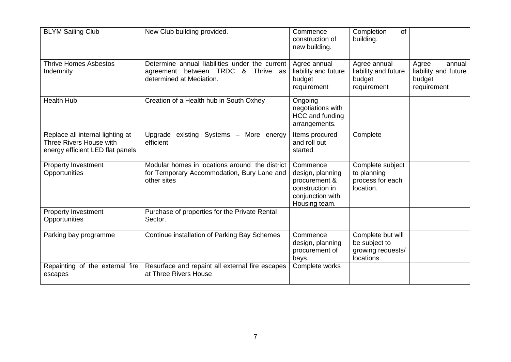| <b>BLYM Sailing Club</b>                                                                        | New Club building provided.                                                                                      | Commence<br>construction of<br>new building.                                                          | Completion<br>of<br>building.                                         |                                                                  |
|-------------------------------------------------------------------------------------------------|------------------------------------------------------------------------------------------------------------------|-------------------------------------------------------------------------------------------------------|-----------------------------------------------------------------------|------------------------------------------------------------------|
| <b>Thrive Homes Asbestos</b><br>Indemnity                                                       | Determine annual liabilities under the current<br>agreement between TRDC & Thrive as<br>determined at Mediation. | Agree annual<br>liability and future<br>budget<br>requirement                                         | Agree annual<br>liability and future<br>budget<br>requirement         | Agree<br>annual<br>liability and future<br>budget<br>requirement |
| <b>Health Hub</b>                                                                               | Creation of a Health hub in South Oxhey                                                                          | Ongoing<br>negotiations with<br>HCC and funding<br>arrangements.                                      |                                                                       |                                                                  |
| Replace all internal lighting at<br>Three Rivers House with<br>energy efficient LED flat panels | existing Systems - More energy<br>Upgrade<br>efficient                                                           | Items procured<br>and roll out<br>started                                                             | Complete                                                              |                                                                  |
| <b>Property Investment</b><br>Opportunities                                                     | Modular homes in locations around the district<br>for Temporary Accommodation, Bury Lane and<br>other sites      | Commence<br>design, planning<br>procurement &<br>construction in<br>conjunction with<br>Housing team. | Complete subject<br>to planning<br>process for each<br>location.      |                                                                  |
| <b>Property Investment</b><br>Opportunities                                                     | Purchase of properties for the Private Rental<br>Sector.                                                         |                                                                                                       |                                                                       |                                                                  |
| Parking bay programme                                                                           | Continue installation of Parking Bay Schemes                                                                     | Commence<br>design, planning<br>procurement of<br>bays.                                               | Complete but will<br>be subject to<br>growing requests/<br>locations. |                                                                  |
| Repainting of the external fire<br>escapes                                                      | Resurface and repaint all external fire escapes<br>at Three Rivers House                                         | Complete works                                                                                        |                                                                       |                                                                  |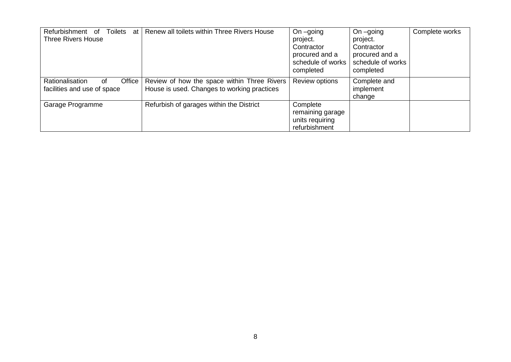| Toilets<br>Refurbishment of<br>at<br><b>Three Rivers House</b>   | Renew all toilets within Three Rivers House                                                | On $-going$<br>project.<br>Contractor<br>procured and a<br>schedule of works<br>completed | On $-going$<br>project.<br>Contractor<br>procured and a<br>schedule of works<br>completed | Complete works |
|------------------------------------------------------------------|--------------------------------------------------------------------------------------------|-------------------------------------------------------------------------------------------|-------------------------------------------------------------------------------------------|----------------|
| Rationalisation<br>Office  <br>of<br>facilities and use of space | Review of how the space within Three Rivers<br>House is used. Changes to working practices | Review options                                                                            | Complete and<br>implement<br>change                                                       |                |
| Garage Programme                                                 | Refurbish of garages within the District                                                   | Complete<br>remaining garage<br>units requiring<br>refurbishment                          |                                                                                           |                |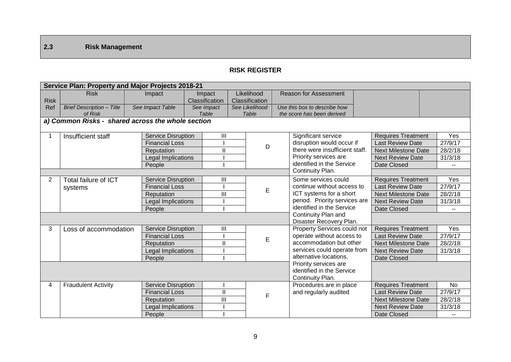## **2.3 Risk Management**

### **RISK REGISTER**

|                  | Service Plan: Property and Major Projects 2018-21 |                           |                |                |                |  |                                                |  |                            |  |                          |
|------------------|---------------------------------------------------|---------------------------|----------------|----------------|----------------|--|------------------------------------------------|--|----------------------------|--|--------------------------|
|                  | <b>Risk</b>                                       | Impact                    | Impact         |                | Likelihood     |  | <b>Reason for Assessment</b>                   |  |                            |  |                          |
| <b>Risk</b>      |                                                   |                           | Classification |                | Classification |  |                                                |  |                            |  |                          |
| Ref              | <b>Brief Description - Title</b>                  | See Impact Table          | See Impact     |                | See Likelihood |  | Use this box to describe how                   |  |                            |  |                          |
|                  | of Risk                                           |                           | Table          |                | Table          |  | the score has been derived                     |  |                            |  |                          |
|                  | a) Common Risks - shared across the whole section |                           |                |                |                |  |                                                |  |                            |  |                          |
|                  | Insufficient staff                                | <b>Service Disruption</b> |                | Ш              |                |  | Significant service                            |  | <b>Requires Treatment</b>  |  | Yes                      |
|                  |                                                   | <b>Financial Loss</b>     |                |                | D              |  | disruption would occur if                      |  | <b>Last Review Date</b>    |  | 27/9/17                  |
|                  |                                                   | Reputation                |                | II             |                |  | there were insufficient staff.                 |  | <b>Next Milestone Date</b> |  | 28/2/18                  |
|                  |                                                   | Legal Implications        |                |                |                |  | Priority services are                          |  | <b>Next Review Date</b>    |  | 31/3/18                  |
|                  |                                                   | People                    |                |                |                |  | identified in the Service                      |  | Date Closed                |  |                          |
| Continuity Plan. |                                                   |                           |                |                |                |  |                                                |  |                            |  |                          |
| $\overline{2}$   | <b>Total failure of ICT</b>                       | <b>Service Disruption</b> |                | Ш              |                |  | Some services could                            |  | <b>Requires Treatment</b>  |  | Yes                      |
|                  | systems                                           | <b>Financial Loss</b>     |                |                | E              |  | continue without access to                     |  | <b>Last Review Date</b>    |  | 27/9/17                  |
|                  |                                                   | Reputation                |                | $\mathbf{III}$ |                |  | ICT systems for a short                        |  | <b>Next Milestone Date</b> |  | 28/2/18                  |
|                  |                                                   | Legal Implications        |                |                |                |  | period. Priority services are                  |  | <b>Next Review Date</b>    |  | 31/3/18                  |
|                  |                                                   | People                    |                |                |                |  | identified in the Service                      |  | Date Closed                |  | $\overline{\phantom{a}}$ |
|                  |                                                   |                           |                |                |                |  | Continuity Plan and<br>Disaster Recovery Plan. |  |                            |  |                          |
| 3                | Loss of accommodation                             | <b>Service Disruption</b> |                | Ш              |                |  | Property Services could not                    |  | <b>Requires Treatment</b>  |  | Yes                      |
|                  |                                                   | <b>Financial Loss</b>     |                |                | E              |  | operate without access to                      |  | <b>Last Review Date</b>    |  | 27/9/17                  |
|                  |                                                   | Reputation                |                | $\mathbf{I}$   |                |  | accommodation but other                        |  | <b>Next Milestone Date</b> |  | 28/2/18                  |
|                  |                                                   | Legal Implications        |                |                |                |  | services could operate from                    |  | <b>Next Review Date</b>    |  | 31/3/18                  |
|                  |                                                   | People                    |                |                |                |  | alternative locations.                         |  | Date Closed                |  |                          |
|                  |                                                   |                           |                |                |                |  | Priority services are                          |  |                            |  |                          |
|                  |                                                   |                           |                |                |                |  | identified in the Service                      |  |                            |  |                          |
|                  |                                                   |                           |                |                |                |  | Continuity Plan.                               |  |                            |  |                          |
| 4                | <b>Fraudulent Activity</b>                        | Service Disruption        |                |                |                |  | Procedures are in place                        |  | <b>Requires Treatment</b>  |  | <b>No</b>                |
|                  |                                                   | <b>Financial Loss</b>     |                | $\mathbf{I}$   | F              |  | and regularly audited                          |  | <b>Last Review Date</b>    |  | $\frac{27}{9/17}$        |
|                  |                                                   | Reputation                |                | III            |                |  |                                                |  | <b>Next Milestone Date</b> |  | 28/2/18                  |
|                  |                                                   | Legal Implications        |                |                |                |  |                                                |  | <b>Next Review Date</b>    |  | 31/3/18                  |
|                  |                                                   | People                    |                |                |                |  |                                                |  | Date Closed                |  |                          |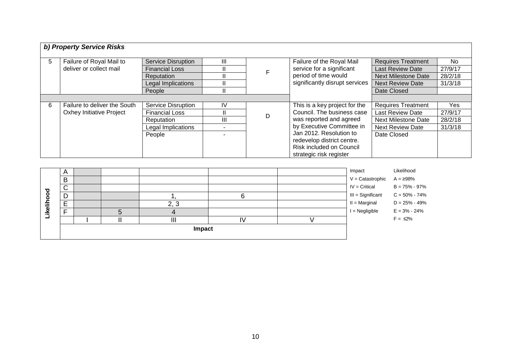|   | b) Property Service Risks       |                           |    |   |                                |                            |         |
|---|---------------------------------|---------------------------|----|---|--------------------------------|----------------------------|---------|
|   |                                 |                           |    |   |                                |                            |         |
| 5 | Failure of Royal Mail to        | <b>Service Disruption</b> | Ш  |   | Failure of the Royal Mail      | <b>Requires Treatment</b>  | No.     |
|   | deliver or collect mail         | <b>Financial Loss</b>     | II |   | service for a significant      | <b>Last Review Date</b>    | 27/9/17 |
|   |                                 | Reputation                | П. |   | period of time would           | <b>Next Milestone Date</b> | 28/2/18 |
|   |                                 | Legal Implications        |    |   | significantly disrupt services | <b>Next Review Date</b>    | 31/3/18 |
|   |                                 | People                    | II |   |                                | Date Closed                |         |
|   |                                 |                           |    |   |                                |                            |         |
| 6 | Failure to deliver the South    | Service Disruption        | IV |   | This is a key project for the  | <b>Requires Treatment</b>  | Yes     |
|   | <b>Oxhey Initiative Project</b> | <b>Financial Loss</b>     |    | D | Council. The business case     | Last Review Date           | 27/9/17 |
|   |                                 | Reputation                | Ш  |   | was reported and agreed        | <b>Next Milestone Date</b> | 28/2/18 |
|   |                                 | Legal Implications        |    |   | by Executive Committee in      | <b>Next Review Date</b>    | 31/3/18 |
|   |                                 | People                    |    |   | Jan 2012. Resolution to        | Date Closed                |         |
|   |                                 |                           |    |   | redevelop district centre.     |                            |         |
|   |                                 |                           |    |   | Risk included on Council       |                            |         |
|   |                                 |                           |    |   | strategic risk register        |                            |         |

|          | $\overline{A}$ |  |  |      |  |  | Impact                             | Likelihood        |
|----------|----------------|--|--|------|--|--|------------------------------------|-------------------|
|          | B              |  |  |      |  |  | $V =$ Catastrophic $A = \geq 98\%$ |                   |
|          | $\sim$<br>ີ    |  |  |      |  |  | $IV = Critical$                    | $B = 75\% - 97\%$ |
| ිල<br>ර  | D              |  |  |      |  |  | III = Significant                  | $C = 50\% - 74\%$ |
| Likeliho | E<br>-         |  |  | 2, 3 |  |  | $II = Marginal$                    | $D = 25\% - 49\%$ |
|          | Е              |  |  |      |  |  | $I = Negligible$                   | $E = 3\% - 24\%$  |
|          |                |  |  | Ш    |  |  |                                    | $F = \leq 2\%$    |
|          | Impact         |  |  |      |  |  |                                    |                   |
|          |                |  |  |      |  |  |                                    |                   |